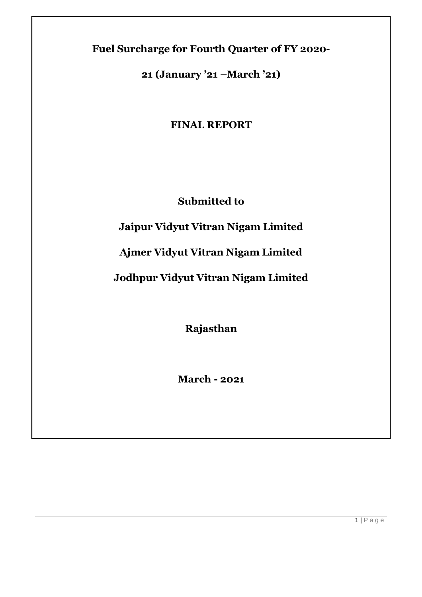**Fuel Surcharge for Fourth Quarter of FY 2020-**

**21 (January '21 –March '21)**

**FINAL REPORT**

**Submitted to**

**Jaipur Vidyut Vitran Nigam Limited** 

**Ajmer Vidyut Vitran Nigam Limited** 

**Jodhpur Vidyut Vitran Nigam Limited**

**Rajasthan**

**March - 2021**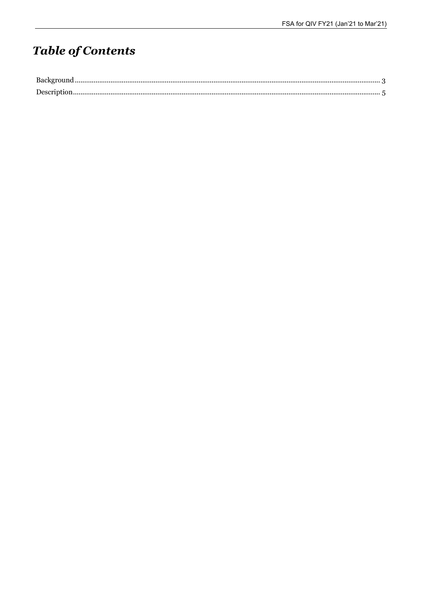# **Table of Contents**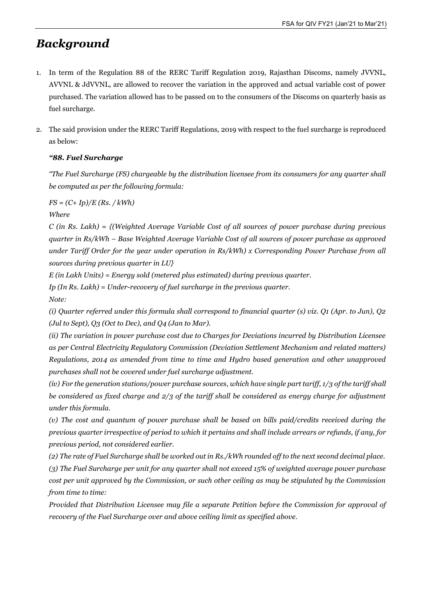### *Background*

- 1. In term of the Regulation 88 of the RERC Tariff Regulation 2019, Rajasthan Discoms, namely JVVNL, AVVNL & JdVVNL, are allowed to recover the variation in the approved and actual variable cost of power purchased. The variation allowed has to be passed on to the consumers of the Discoms on quarterly basis as fuel surcharge.
- 2. The said provision under the RERC Tariff Regulations, 2019 with respect to the fuel surcharge is reproduced as below:

### *"88. Fuel Surcharge*

*"The Fuel Surcharge (FS) chargeable by the distribution licensee from its consumers for any quarter shall be computed as per the following formula:*

*FS = (C+ Ip)/E (Rs. / kWh)* 

*Where*

*C (in Rs. Lakh) = {(Weighted Average Variable Cost of all sources of power purchase during previous quarter in Rs/kWh – Base Weighted Average Variable Cost of all sources of power purchase as approved under Tariff Order for the year under operation in Rs/kWh) x Corresponding Power Purchase from all sources during previous quarter in LU}*

*E (in Lakh Units) = Energy sold (metered plus estimated) during previous quarter.* 

*Ip (In Rs. Lakh) = Under-recovery of fuel surcharge in the previous quarter.*

*Note:*

*(i) Quarter referred under this formula shall correspond to financial quarter (s) viz. Q1 (Apr. to Jun), Q2 (Jul to Sept), Q3 (Oct to Dec), and Q4 (Jan to Mar).*

*(ii) The variation in power purchase cost due to Charges for Deviations incurred by Distribution Licensee as per Central Electricity Regulatory Commission (Deviation Settlement Mechanism and related matters) Regulations, 2014 as amended from time to time and Hydro based generation and other unapproved purchases shall not be covered under fuel surcharge adjustment.*

(iv) For the generation stations/power purchase sources, which have single part tariff, 1/3 of the tariff shall *be considered as fixed charge and 2/3 of the tariff shall be considered as energy charge for adjustment under this formula.*

*(v) The cost and quantum of power purchase shall be based on bills paid/credits received during the*  previous quarter irrespective of period to which it pertains and shall include arrears or refunds, if any, for *previous period, not considered earlier.*

(2) The rate of Fuel Surcharge shall be worked out in Rs./kWh rounded off to the next second decimal place. *(3) The Fuel Surcharge per unit for any quarter shall not exceed 15% of weighted average power purchase cost per unit approved by the Commission, or such other ceiling as may be stipulated by the Commission* 

*from time to time:*

*Provided that Distribution Licensee may file a separate Petition before the Commission for approval of recovery of the Fuel Surcharge over and above ceiling limit as specified above.*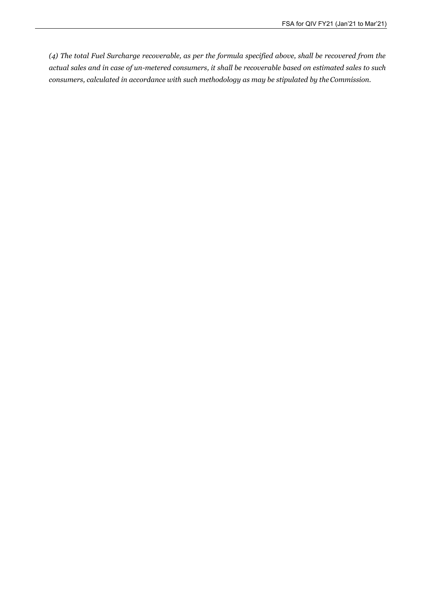*(4) The total Fuel Surcharge recoverable, as per the formula specified above, shall be recovered from the actual sales and in case of un-metered consumers, it shall be recoverable based on estimated sales to such consumers, calculated in accordance with such methodology as may be stipulated by theCommission.*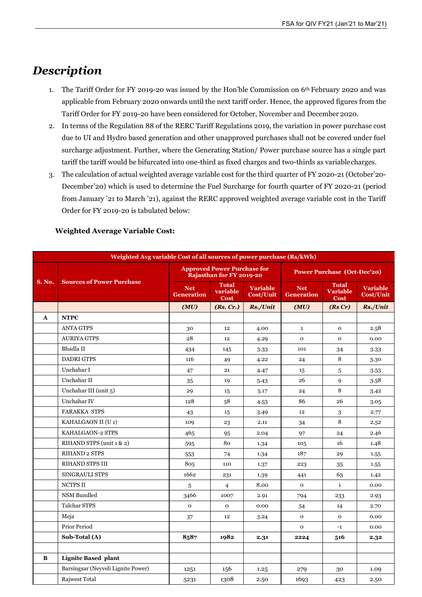## *Description*

- 1. The Tariff Order for FY 2019-20 was issued by the Hon'ble Commission on 6th February 2020 and was applicable from February 2020 onwards until the next tariff order. Hence, the approved figures from the Tariff Order for FY 2019-20 have been considered for October, November and December 2020.
- 2. In terms of the Regulation 88 of the RERC Tariff Regulations 2019, the variation in power purchase cost due to UI and Hydro based generation and other unapproved purchases shall not be covered under fuel surcharge adjustment. Further, where the Generating Station/ Power purchase source has a single part tariff the tariff would be bifurcated into one-third as fixed charges and two-thirds as variablecharges.
- 3. The calculation of actual weighted average variable cost for the third quarter of FY 2020-21 (October'20- December'20) which is used to determine the Fuel Surcharge for fourth quarter of FY 2020-21 (period from January '21 to March '21), against the RERC approved weighted average variable cost in the Tariff Order for FY 2019-20 is tabulated below:

| Weighted Avg variable Cost of all sources of power purchase (Rs/kWh) |                                    |                                                                |                                  |                                     |                                    |                                                |                                     |
|----------------------------------------------------------------------|------------------------------------|----------------------------------------------------------------|----------------------------------|-------------------------------------|------------------------------------|------------------------------------------------|-------------------------------------|
|                                                                      |                                    | <b>Approved Power Purchase for</b><br>Rajasthan for FY 2019-20 |                                  |                                     | <b>Power Purchase (Oct-Dec'20)</b> |                                                |                                     |
| <b>S. No.</b>                                                        | <b>Sources of Power Purchase</b>   | <b>Net</b><br><b>Generation</b>                                | <b>Total</b><br>variable<br>Cost | <b>Variable</b><br><b>Cost/Unit</b> | <b>Net</b><br><b>Generation</b>    | <b>Total</b><br><b>Variable</b><br><b>Cost</b> | <b>Variable</b><br><b>Cost/Unit</b> |
|                                                                      |                                    | (MU)                                                           | (Rs, Cr.)                        | Rs./Unit                            | (MU)                               | (RsCr)                                         | Rs./Unit                            |
| $\mathbf{A}$                                                         | <b>NTPC</b>                        |                                                                |                                  |                                     |                                    |                                                |                                     |
|                                                                      | <b>ANTA GTPS</b>                   | 30                                                             | 12                               | 4.00                                | $\mathbf{1}$                       | $\mathbf{O}$                                   | 2.58                                |
|                                                                      | <b>AURIYA GTPS</b>                 | 28                                                             | 12                               | 4.29                                | $\mathbf{o}$                       | $\mathbf{o}$                                   | 0.00                                |
|                                                                      | Bhadla II                          | 434                                                            | 145                              | 3.33                                | 101                                | 34                                             | 3.33                                |
|                                                                      | <b>DADRI GTPS</b>                  | 116                                                            | 49                               | 4.22                                | 24                                 | 8                                              | 3.30                                |
|                                                                      | Unchahar I                         | 47                                                             | 21                               | 4.47                                | 15                                 | 5                                              | 3.53                                |
|                                                                      | Unchahar II                        | 35                                                             | 19                               | 5.43                                | 26                                 | $\mathbf{Q}$                                   | 3.58                                |
|                                                                      | Unchahar III (unit 5)              | 29                                                             | 15                               | 5.17                                | 24                                 | 8                                              | 3.42                                |
|                                                                      | Unchahar IV                        | 128                                                            | 58                               | 4.53                                | 86                                 | 26                                             | 3.05                                |
|                                                                      | <b>FARAKKA STPS</b>                | 43                                                             | 15                               | 3.49                                | 12                                 | $\sqrt{3}$                                     | 2.77                                |
|                                                                      | KAHALGAON II (U1)                  | 109                                                            | 23                               | 2.11                                | 34                                 | 8                                              | 2.52                                |
|                                                                      | KAHALGAON-2 STPS                   | 465                                                            | 95                               | 2.04                                | 97                                 | 24                                             | 2.46                                |
|                                                                      | RIHAND STPS (unit 1 & 2)           | 595                                                            | 80                               | 1.34                                | 105                                | 16                                             | 1.48                                |
|                                                                      | <b>RIHAND 2 STPS</b>               | 553                                                            | 74                               | 1.34                                | 187                                | 29                                             | 1.55                                |
|                                                                      | <b>RIHAND STPS III</b>             | 805                                                            | 110                              | 1.37                                | 223                                | 35                                             | 1.55                                |
|                                                                      | <b>SINGRAULI STPS</b>              | 1662                                                           | 231                              | 1.39                                | 441                                | 63                                             | 1.42                                |
|                                                                      | NCTPS II                           | 5                                                              | $\overline{4}$                   | 8.00                                | $\mathbf{O}$                       | $\mathbf 1$                                    | 0.00                                |
|                                                                      | NSM Bundled                        | 3466                                                           | 1007                             | 2.91                                | 794                                | 233                                            | 2.93                                |
|                                                                      | <b>Talchar STPS</b>                | $\mathbf 0$                                                    | $\mathbf{O}$                     | 0.00                                | 54                                 | 14                                             | 2.70                                |
|                                                                      | Meja                               | 37                                                             | 12                               | 3.24                                | $\mathbf{O}$                       | $\mathbf{O}$                                   | 0.00                                |
|                                                                      | <b>Prior Period</b>                |                                                                |                                  |                                     | $\mathbf{o}$                       | $-1$                                           | 0.00                                |
|                                                                      | Sub-Total (A)                      | 8587                                                           | 1982                             | 2.31                                | 2224                               | 516                                            | 2.32                                |
|                                                                      |                                    |                                                                |                                  |                                     |                                    |                                                |                                     |
| B                                                                    | <b>Lignite Based plant</b>         |                                                                |                                  |                                     |                                    |                                                |                                     |
|                                                                      | Barsingsar (Neyveli Lignite Power) | 1251                                                           | 156                              | 1.25                                | 279                                | 30                                             | 1.09                                |
|                                                                      | <b>Rajwest Total</b>               | 5231                                                           | 1308                             | 2.50                                | 1693                               | 423                                            | 2.50                                |

### **Weighted Average Variable Cost:**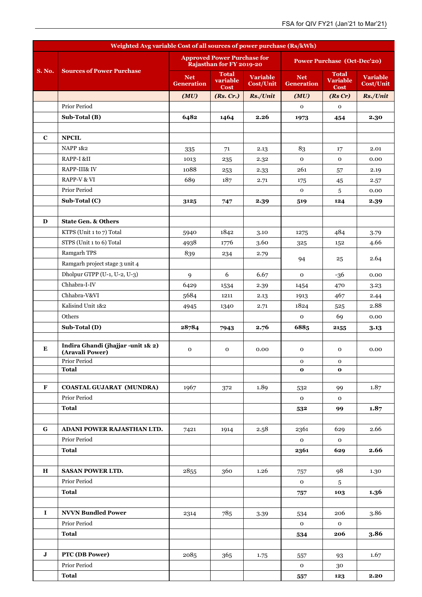| Weighted Avg variable Cost of all sources of power purchase (Rs/kWh) |                                                       |                                 |                                                                |                                     |                                    |                                                |                                     |
|----------------------------------------------------------------------|-------------------------------------------------------|---------------------------------|----------------------------------------------------------------|-------------------------------------|------------------------------------|------------------------------------------------|-------------------------------------|
|                                                                      |                                                       |                                 | <b>Approved Power Purchase for</b><br>Rajasthan for FY 2019-20 |                                     | <b>Power Purchase (Oct-Dec'20)</b> |                                                |                                     |
| <b>S. No.</b>                                                        | <b>Sources of Power Purchase</b>                      | <b>Net</b><br><b>Generation</b> | <b>Total</b><br>variable<br><b>Cost</b>                        | <b>Variable</b><br><b>Cost/Unit</b> | <b>Net</b><br><b>Generation</b>    | <b>Total</b><br><b>Variable</b><br><b>Cost</b> | <b>Variable</b><br><b>Cost/Unit</b> |
|                                                                      |                                                       | (MU)                            | (Rs, Cr.)                                                      | Rs./Unit                            | (MU)                               | (RsCr)                                         | Rs./Unit                            |
|                                                                      | Prior Period                                          |                                 |                                                                |                                     | $\mathbf 0$                        | $\mathbf 0$                                    |                                     |
|                                                                      | Sub-Total (B)                                         | 6482                            | 1464                                                           | 2.26                                | 1973                               | 454                                            | 2.30                                |
|                                                                      |                                                       |                                 |                                                                |                                     |                                    |                                                |                                     |
| $\mathbf C$                                                          | <b>NPCIL</b>                                          |                                 |                                                                |                                     |                                    |                                                |                                     |
|                                                                      | <b>NAPP 1&amp;2</b>                                   | 335                             | 71                                                             | 2.13                                | 83                                 | 17                                             | 2.01                                |
|                                                                      | RAPP-I &II                                            | 1013                            | 235                                                            | 2.32                                | $\mathbf 0$                        | $\mathbf 0$                                    | 0.00                                |
|                                                                      | RAPP-III& IV                                          | 1088                            | 253                                                            | 2.33                                | 261                                | 57                                             | 2.19                                |
|                                                                      | RAPP-V & VI                                           | 689                             | 187                                                            | 2.71                                | 175                                | 45                                             | 2.57                                |
|                                                                      | Prior Period                                          |                                 |                                                                |                                     | $\mathbf{O}$                       | 5                                              | 0.00                                |
|                                                                      | Sub-Total (C)                                         | 3125                            | 747                                                            | 2.39                                | 519                                | 124                                            | 2.39                                |
|                                                                      |                                                       |                                 |                                                                |                                     |                                    |                                                |                                     |
| D                                                                    | <b>State Gen. &amp; Others</b>                        |                                 |                                                                |                                     |                                    |                                                |                                     |
|                                                                      | KTPS (Unit 1 to 7) Total                              | 5940                            | 1842                                                           | 3.10                                | 1275                               | 484                                            | 3.79                                |
|                                                                      | STPS (Unit 1 to 6) Total                              | 4938                            | 1776                                                           | 3.60                                | 325                                | 152                                            | 4.66                                |
|                                                                      | Ramgarh TPS                                           | 839                             | 234                                                            | 2.79                                |                                    |                                                |                                     |
|                                                                      | Ramgarh project stage 3 unit 4                        |                                 |                                                                |                                     | 94                                 | 25                                             | 2.64                                |
|                                                                      | Dholpur GTPP (U-1, U-2, U-3)                          | 9                               | 6                                                              | 6.67                                | $\mathbf 0$                        | $-36$                                          | 0.00                                |
|                                                                      | Chhabra-I-IV                                          | 6429                            | 1534                                                           | 2.39                                | 1454                               | 470                                            | 3.23                                |
|                                                                      | Chhabra-V&VI                                          | 5684                            | 1211                                                           | 2.13                                | 1913                               | 467                                            | 2.44                                |
|                                                                      | Kalisind Unit 1&2                                     | 4945                            | 1340                                                           | 2.71                                | 1824                               | 525                                            | 2.88                                |
|                                                                      | Others                                                |                                 |                                                                |                                     | $\mathbf 0$                        | 69                                             | 0.00                                |
|                                                                      | Sub-Total (D)                                         | 28784                           | 7943                                                           | 2.76                                | 6885                               | 2155                                           | 3.13                                |
|                                                                      |                                                       |                                 |                                                                |                                     |                                    |                                                |                                     |
| Е                                                                    | Indira Ghandi (jhajjar -unit 1& 2)<br>(Aravali Power) | $\mathbf 0$                     | $\mathbf 0$                                                    | 0.00                                | $\mathbf 0$                        | $\mathbf 0$                                    | 0.00                                |
|                                                                      | Prior Period                                          |                                 |                                                                |                                     | 0                                  | 0                                              |                                     |
|                                                                      | <b>Total</b>                                          |                                 |                                                                |                                     | $\mathbf{o}$                       | $\mathbf{o}$                                   |                                     |
| F                                                                    | <b>COASTAL GUJARAT (MUNDRA)</b>                       | 1967                            | 372                                                            | 1.89                                | 532                                | 99                                             | 1.87                                |
|                                                                      | Prior Period                                          |                                 |                                                                |                                     | $\mathbf 0$                        | $\mathbf 0$                                    |                                     |
|                                                                      | <b>Total</b>                                          |                                 |                                                                |                                     | 532                                | 99                                             | 1.87                                |
|                                                                      |                                                       |                                 |                                                                |                                     |                                    |                                                |                                     |
| G                                                                    | <b>ADANI POWER RAJASTHAN LTD.</b>                     | 7421                            | 1914                                                           | 2.58                                | 2361                               | 629                                            | 2.66                                |
|                                                                      | Prior Period                                          |                                 |                                                                |                                     | $\mathbf 0$                        | $\mathbf 0$                                    |                                     |
|                                                                      | <b>Total</b>                                          |                                 |                                                                |                                     | 2361                               | 629                                            | 2.66                                |
|                                                                      |                                                       |                                 |                                                                |                                     |                                    |                                                |                                     |
| $\mathbf H$                                                          | <b>SASAN POWER LTD.</b>                               | 2855                            | 360                                                            | 1.26                                | 757                                | 98                                             | 1.30                                |
|                                                                      | Prior Period                                          |                                 |                                                                |                                     | $\mathbf 0$                        | $\overline{5}$                                 |                                     |
|                                                                      | <b>Total</b>                                          |                                 |                                                                |                                     | 757                                | 103                                            | 1.36                                |
|                                                                      |                                                       |                                 |                                                                |                                     |                                    |                                                |                                     |
| 1                                                                    | <b>NVVN Bundled Power</b>                             | 2314                            | 785                                                            | 3.39                                | 534                                | 206                                            | 3.86                                |
|                                                                      | Prior Period                                          |                                 |                                                                |                                     | $\mathbf 0$                        | $\mathbf 0$                                    |                                     |
|                                                                      | <b>Total</b>                                          |                                 |                                                                |                                     | 534                                | 206                                            | 3.86                                |
|                                                                      |                                                       |                                 |                                                                |                                     |                                    |                                                |                                     |
| $\mathbf J$                                                          | PTC (DB Power)                                        | 2085                            | 365                                                            | 1.75                                | 557                                | 93                                             | 1.67                                |
|                                                                      | Prior Period                                          |                                 |                                                                |                                     | 0                                  | 30                                             |                                     |
|                                                                      | <b>Total</b>                                          |                                 |                                                                |                                     | 557                                | 123                                            | 2.20                                |
|                                                                      |                                                       |                                 |                                                                |                                     |                                    |                                                |                                     |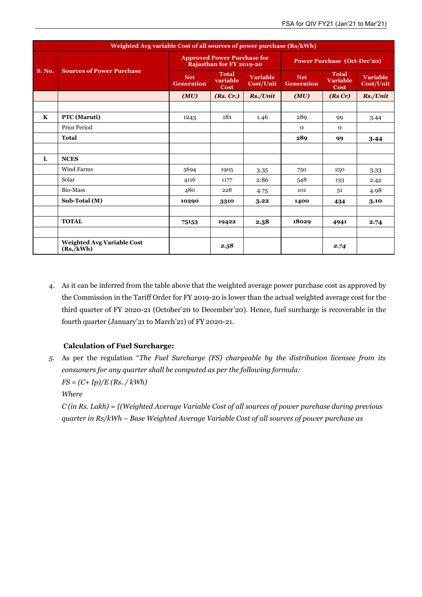| Weighted Avg variable Cost of all sources of power purchase (Rs/kWh) |                                                |                                                                |                                  |                                     |                                    |                                                |                                     |
|----------------------------------------------------------------------|------------------------------------------------|----------------------------------------------------------------|----------------------------------|-------------------------------------|------------------------------------|------------------------------------------------|-------------------------------------|
| <b>S. No.</b>                                                        | <b>Sources of Power Purchase</b>               | <b>Approved Power Purchase for</b><br>Rajasthan for FY 2019-20 |                                  |                                     | <b>Power Purchase (Oct-Dec'20)</b> |                                                |                                     |
|                                                                      |                                                | <b>Net</b><br><b>Generation</b>                                | <b>Total</b><br>variable<br>Cost | <b>Variable</b><br><b>Cost/Unit</b> | <b>Net</b><br><b>Generation</b>    | <b>Total</b><br><b>Variable</b><br><b>Cost</b> | <b>Variable</b><br><b>Cost/Unit</b> |
|                                                                      |                                                | (MU)                                                           | (Rs, Cr.)                        | Rs./Unit                            | (MU)                               | (RsCr)                                         | Rs./Unit                            |
|                                                                      |                                                |                                                                |                                  |                                     |                                    |                                                |                                     |
| K                                                                    | PTC (Maruti)                                   | 1243                                                           | 181                              | 1.46                                | 289                                | 99                                             | 3.44                                |
|                                                                      | <b>Prior Period</b>                            |                                                                |                                  |                                     | $\Omega$                           | $\Omega$                                       |                                     |
|                                                                      | <b>Total</b>                                   |                                                                |                                  |                                     | 289                                | 99                                             | 3.44                                |
|                                                                      |                                                |                                                                |                                  |                                     |                                    |                                                |                                     |
| L                                                                    | <b>NCES</b>                                    |                                                                |                                  |                                     |                                    |                                                |                                     |
|                                                                      | <b>Wind Farms</b>                              | 5694                                                           | 1905                             | 3.35                                | 750                                | 250                                            | 3.33                                |
|                                                                      | Solar                                          | 4116                                                           | 1177                             | 2.86                                | 548                                | 133                                            | 2.42                                |
|                                                                      | Bio-Mass                                       | 480                                                            | 228                              | 4.75                                | 101                                | ,51                                            | 4.98                                |
|                                                                      | Sub-Total (M)                                  | 10290                                                          | 3310                             | 3.22                                | 1400                               | 434                                            | 3.10                                |
|                                                                      |                                                |                                                                |                                  |                                     |                                    |                                                |                                     |
|                                                                      | <b>TOTAL</b>                                   | 75153                                                          | 19422                            | 2.58                                | 18029                              | 4941                                           | 2.74                                |
|                                                                      |                                                |                                                                |                                  |                                     |                                    |                                                |                                     |
|                                                                      | <b>Weighted Avg Variable Cost</b><br>(Rs./kWh) |                                                                | 2.58                             |                                     |                                    | 2.74                                           |                                     |

4. As it can be inferred from the table above that the weighted average power purchase cost as approved by the Commission in the Tariff Order for FY 2019-20 is lower than the actual weighted average cost for the third quarter of FY 2020-21 (October'20 to December'20). Hence, fuel surcharge is recoverable in the fourth quarter (January'21 to March'21) of FY 2020-21.

### **Calculation of Fuel Surcharge:**

*5.* As per the regulation "*The Fuel Surcharge (FS) chargeable by the distribution licensee from its consumers for any quarter shall be computed as per the following formula: FS = (C+ Ip)/E (Rs. / kWh)* 

*Where*

*C (in Rs. Lakh) = {(Weighted Average Variable Cost of all sources of power purchase during previous quarter in Rs/kWh – Base Weighted Average Variable Cost of all sources of power purchase as*